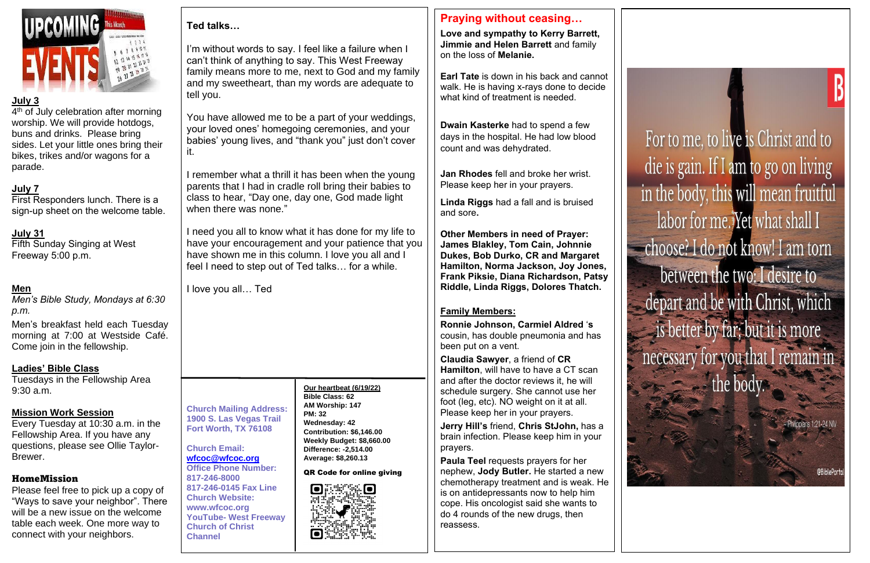

## **July 3**

4<sup>th</sup> of July celebration after morning worship. We will provide hotdogs, buns and drinks. Please bring sides. Let your little ones bring their bikes, trikes and/or wagons for a parade.

## **July 7**

First Responders lunch. There is a sign-up sheet on the welcome table.

## **July 31**

Fifth Sunday Singing at West Freeway 5:00 p.m.

## **Men**

*Men's Bible Study, Mondays at 6:30 p.m.*

Men's breakfast held each Tuesday morning at 7:00 at Westside Café. Come join in the fellowship.

#### **Ladies' Bible Class**

Tuesdays in the Fellowship Area 9:30 a.m.

## **Mission Work Session**

Every Tuesday at 10:30 a.m. in the Fellowship Area. If you have any questions, please see Ollie Taylor-Brewer.

## HomeMission

Please feel free to pick up a copy of "Ways to save your neighbor". There will be a new issue on the welcome table each week. One more way to connect with your neighbors.

## **Ted talks…**

I'm without words to say. I feel like a failure when I can't think of anything to say. This West Freeway family means more to me, next to God and my family and my sweetheart, than my words are adequate to tell you.

You have allowed me to be a part of your weddings, your loved ones' homegoing ceremonies, and your babies' young lives, and "thank you" just don't cover it.

I remember what a thrill it has been when the young parents that I had in cradle roll bring their babies to class to hear, "Day one, day one, God made light when there was none."

I need you all to know what it has done for my life to have your encouragement and your patience that you have shown me in this column. I love you all and I feel I need to step out of Ted talks… for a while.

I love you all… Ted

#### **Church Mailing Address: 1900 S. Las Vegas Trail Fort Worth, TX 76108**

# **Church Email:**

**[wfcoc@wfcoc.org](mailto:wfcoc@wfcoc.org) Office Phone Number: 817-246-8000 817-246-0145 Fax Line Church Website: www.wfcoc.org YouTube- West Freeway Church of Christ Channel**

## **Praying without ceasing…**

**Love and sympathy to Kerry Barrett, Jimmie and Helen Barrett** and family on the loss of **Melanie.** 

**Earl Tate** is down in his back and cannot walk. He is having x-rays done to decide what kind of treatment is needed.

**Dwain Kasterke** had to spend a few days in the hospital. He had low blood count and was dehydrated.

**Jan Rhodes** fell and broke her wrist. Please keep her in your prayers.

**Linda Riggs** had a fall and is bruised and sore**.**

**Other Members in need of Prayer: James Blakley, Tom Cain, Johnnie Dukes, Bob Durko, CR and Margaret Hamilton, Norma Jackson, Joy Jones, Frank Piksie, Diana Richardson, Patsy Riddle, Linda Riggs, Dolores Thatch.** 

## **Family Members:**

**Ronnie Johnson, Carmiel Aldred** '**s** cousin, has double pneumonia and has been put on a vent.

**Claudia Sawyer**, a friend of **CR Hamilton**, will have to have a CT scan and after the doctor reviews it, he will schedule surgery. She cannot use her foot (leg, etc). NO weight on it at all. Please keep her in your prayers.

**Jerry Hill's** friend, **Chris StJohn,** has a brain infection. Please keep him in your prayers.

**Paula Teel** requests prayers for her nephew, **Jody Butler.** He started a new chemotherapy treatment and is weak. He is on antidepressants now to help him cope. His oncologist said she wants to do 4 rounds of the new drugs, then reassess.

For to me, to live is Christ and to die is gain. If I am to go on living in the body, this will mean fruitful labor for me. Yet what shall I choose? I do not know! I am torn between the two: I desire to depart and be with Christ, which is better by far; but it is more necessary for you that I remain in the body.

@BiblePort

**Our heartbeat (6/19/22) Bible Class: 62 AM Worship: 147 PM: 32 Wednesday: 42 Contribution: \$6,146.00 Weekly Budget: \$8,660.00 Difference: -2,514.00 Average: \$8,260.13** 

QR Code for online giving